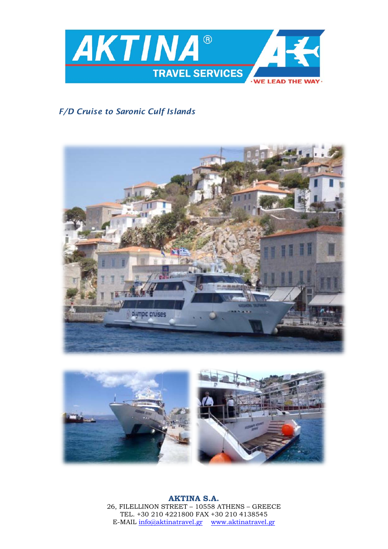

# *F/D Cruise to Saronic Culf Islands*





**AKTINA S.A.** 26, FILELLINON STREET – 10558 ATHENS – GREECE TEL. +30 210 4221800 FAX +30 210 4138545 E-MAIL [info@aktinatravel.gr](mailto:info@aktinatravel.gr) [www.aktinatravel.gr](http://www.aktinatravel.gr/)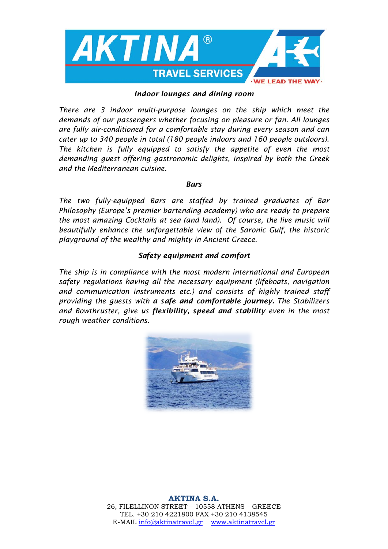

#### *Indoor lounges and dining room*

*There are 3 indoor multi-purpose lounges on the ship which meet the demands of our passengers whether focusing on pleasure or fan. All lounges are fully air-conditioned for a comfortable stay during every season and can cater up to 340 people in total (180 people indoors and 160 people outdoors). The kitchen is fully equipped to satisfy the appetite of even the most demanding guest offering gastronomic delights, inspired by both the Greek and the Mediterranean cuisine.* 

#### *Bars*

*The two fully-equipped Bars are staffed by trained graduates of Bar Philosophy (Europe's premier bartending academy) who are ready to prepare the most amazing Cocktails at sea (and land). Of course, the live music will beautifully enhance the unforgettable view of the Saronic Gulf, the historic playground of the wealthy and mighty in Ancient Greece.*

#### *Safety equipment and comfort*

*The ship is in compliance with the most modern international and European safety regulations having all the necessary equipment (lifeboats, navigation and communication instruments etc.) and consists of highly trained staff providing the guests with a safe and comfortable journey. The Stabilizers and Bowthruster, give us flexibility, speed and stability even in the most rough weather conditions.* 

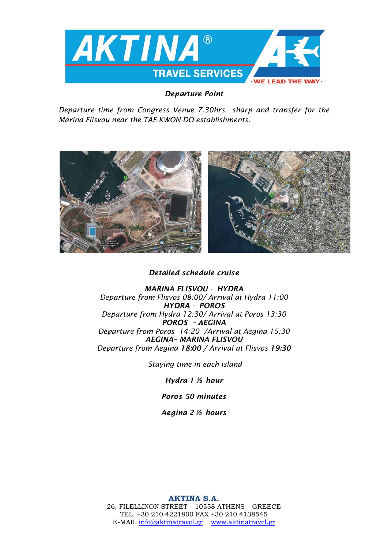

### *Departure Point*

*Departure time from Congress Venue 7.30hrs sharp and transfer for the Marina Flisvou near the TAE-KWON-DO establishments.* 



# *Detailed schedule cruise*

*MARINA FLISVOU - HYDRA Departure from Flisvos 08:00/ Arrival at Hydra 11:00 HYDRA - POROS Departure from Hydra 12:30/ Arrival at Poros 13:30 POROS – ΑEGINA Departure from Poros 14:20 /Arrival at Aegina 15:30 AEGINA– MARINA FLISVOU Departure from Aegina 18:00 / Arrival at Flisvos 19:30*

*Staying time in each island*

*Hydra 1 ½ hour*

*Poros 50 minutes*

*Aegina 2 ½ hours* 

### **AKTINA S.A.**

26, FILELLINON STREET – 10558 ATHENS – GREECE TEL. +30 210 4221800 FAX +30 210 4138545 E-MAIL [info@aktinatravel.gr](mailto:info@aktinatravel.gr) [www.aktinatravel.gr](http://www.aktinatravel.gr/)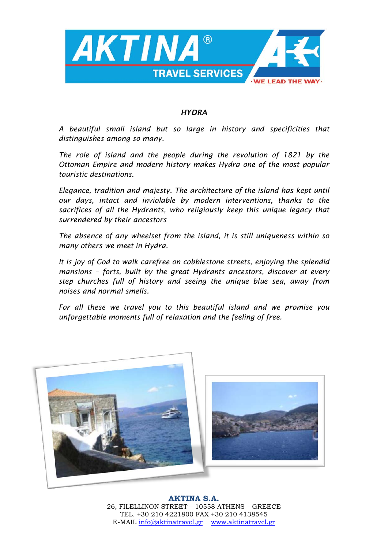

#### *HYDRA*

*A beautiful small island but so large in history and specificities that distinguishes among so many.* 

*The role of island and the people during the revolution of 1821 by the Ottoman Empire and modern history makes Hydra one of the most popular touristic destinations.* 

*Elegance, tradition and majesty. The architecture of the island has kept until our days, intact and inviolable by modern interventions, thanks to the sacrifices of all the Hydrants, who religiously keep this unique legacy that surrendered by their ancestors*

*The absence of any wheelset from the island, it is still uniqueness within so many others we meet in Hydra.*

*It is joy of God to walk carefree on cobblestone streets, enjoying the splendid mansions – forts, built by the great Hydrants ancestors, discover at every step churches full of history and seeing the unique blue sea, away from noises and normal smells.* 

*For all these we travel you to this beautiful island and we promise you unforgettable moments full of relaxation and the feeling of free.*



**AKTINA S.A.** 26, FILELLINON STREET – 10558 ATHENS – GREECE TEL. +30 210 4221800 FAX +30 210 4138545 E-MAIL [info@aktinatravel.gr](mailto:info@aktinatravel.gr) [www.aktinatravel.gr](http://www.aktinatravel.gr/)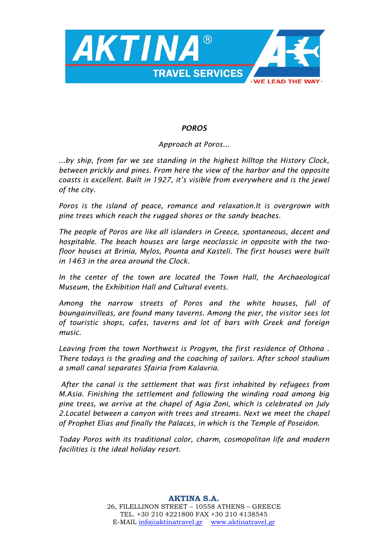

# *POROS*

# *Approach at Poros...*

*...by ship, from far we see standing in the highest hilltop the History Clock, between prickly and pines. From here the view of the harbor and the opposite coasts is excellent. Built in 1927, it's visible from everywhere and is the jewel of the city.*

*Poros is the island of peace, romance and relaxation.It is overgrown with pine trees which reach the rugged shores or the sandy beaches.*

*The people of Poros are like all islanders in Greece, spontaneous, decent and hospitable. The beach houses are large neoclassic in opposite with the twofloor houses at Brinia, Mylos, Pounta and Kasteli. The first houses were built in 1463 in the area around the Clock.* 

*In the center of the town are located the Town Hall, the Archaeological Museum, the Exhibition Hall and Cultural events.*

*Among the narrow streets of Poros and the white houses, full of boungainvilleas, are found many taverns. Among the pier, the visitor sees lot of touristic shops, cafes, taverns and lot of bars with Greek and foreign music.* 

*Leaving from the town Northwest is Progym, the first residence of Othona . There todays is the grading and the coaching of sailors. After school stadium a small canal separates Sfairia from Kalavria.*

*After the canal is the settlement that was first inhabited by refugees from M.Asia. Finishing the settlement and following the winding road among big pine trees, we arrive at the chapel of Agia Zoni, which is celebrated on July 2.Locatel between a canyon with trees and streams. Next we meet the chapel of Prophet Elias and finally the Palaces, in which is the Temple of Poseidon.* 

*Today Poros with its traditional color, charm, cosmopolitan life and modern facilities is the ideal holiday resort.*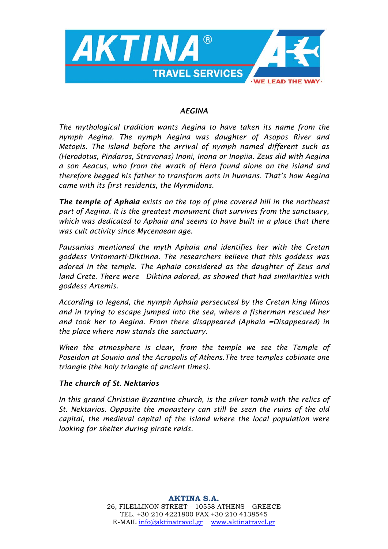

#### *AEGINA*

*The mythological tradition wants Aegina to have taken its name from the nymph Aegina. The nymph Aegina was daughter of Asopos River and Metopis. The island before the arrival of nymph named different such as (Herodotus, Pindaros, Stravonas) Inoni, Inona or Inopiia. Zeus did with Aegina a son Aeacus, who from the wrath of Hera found alone on the island and therefore begged his father to transform ants in humans. That's how Aegina came with its first residents, the Myrmidons.*

*The temple of Aphaia exists on the top of pine covered hill in the northeast part of Aegina. It is the greatest monument that survives from the sanctuary, which was dedicated to Aphaia and seems to have built in a place that there was cult activity since Mycenaean age.*

*Pausanias mentioned the myth Aphaia and identifies her with the Cretan goddess Vritomarti-Diktinna. The researchers believe that this goddess was adored in the temple. The Aphaia considered as the daughter of Zeus and land Crete. There were Diktina adored, as showed that had similarities with goddess Artemis.* 

*According to legend, the nymph Aphaia persecuted by the Cretan king Minos and in trying to escape jumped into the sea, where a fisherman rescued her and took her to Aegina. From there disappeared (Aphaia =Disappeared) in the place where now stands the sanctuary.* 

*When the atmosphere is clear, from the temple we see the Temple of Poseidon at Sounio and the Acropolis of Athens.The tree temples cobinate one triangle (the holy triangle of ancient times).*

### *The church of St. Nektarios*

*In this grand Christian Byzantine church, is the silver tomb with the relics of St. Nektarios. Opposite the monastery can still be seen the ruins of the old capital, the medieval capital of the island where the local population were looking for shelter during pirate raids.*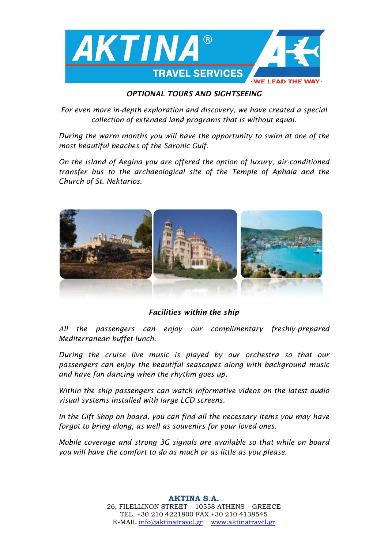

### *OPTIONAL TOURS AND SIGHTSEEING*

*For even more in-depth exploration and discovery, we have created a special collection of extended land programs that is without equal.* 

*During the warm months you will have the opportunity to swim at one of the most beautiful beaches of the Saronic Gulf.* 

*On the island of Aegina you are offered the option of luxury, air-conditioned transfer bus to the archaeological site of the Temple of Aphaia and the Church of St. Nektarios.*



*Facilities within the ship* 

*Αll the passengers can enjoy our complimentary freshly-prepared Mediterranean buffet lunch.* 

*During the cruise live music is played by our orchestra so that our passengers can enjoy the beautiful seascapes along with background music and have fun dancing when the rhythm goes up.* 

*Within the ship passengers can watch informative videos on the latest audio visual systems installed with large LCD screens.*

*In the Gift Shop on board, you can find all the necessary items you may have forgot to bring along, as well as souvenirs for your loved ones.* 

*Mobile coverage and strong 3G signals are available so that while on board you will have the comfort to do as much or as little as you please.*

> **AKTINA S.A.** 26, FILELLINON STREET – 10558 ATHENS – GREECE TEL. +30 210 4221800 FAX +30 210 4138545 E-MAIL [info@aktinatravel.gr](mailto:info@aktinatravel.gr) [www.aktinatravel.gr](http://www.aktinatravel.gr/)